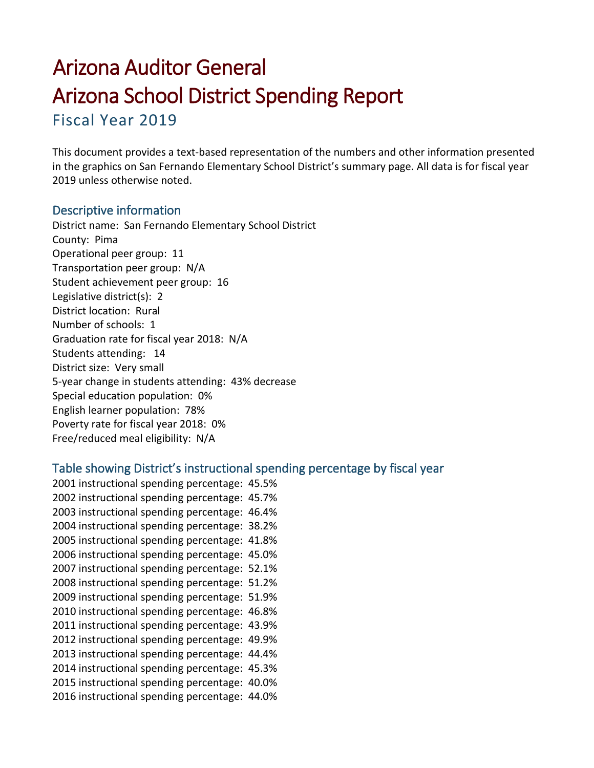# Arizona Auditor General Arizona School District Spending Report

Fiscal Year 2019

This document provides a text-based representation of the numbers and other information presented in the graphics on San Fernando Elementary School District's summary page. All data is for fiscal year 2019 unless otherwise noted.

# Descriptive information

District name: San Fernando Elementary School District County: Pima Operational peer group: 11 Transportation peer group: N/A Student achievement peer group: 16 Legislative district(s): 2 District location: Rural Number of schools: 1 Graduation rate for fiscal year 2018: N/A Students attending: 14 District size: Very small 5-year change in students attending: 43% decrease Special education population: 0% English learner population: 78% Poverty rate for fiscal year 2018: 0% Free/reduced meal eligibility: N/A

# Table showing District's instructional spending percentage by fiscal year

 instructional spending percentage: 45.5% instructional spending percentage: 45.7% instructional spending percentage: 46.4% instructional spending percentage: 38.2% instructional spending percentage: 41.8% instructional spending percentage: 45.0% instructional spending percentage: 52.1% instructional spending percentage: 51.2% instructional spending percentage: 51.9% instructional spending percentage: 46.8% instructional spending percentage: 43.9% instructional spending percentage: 49.9% instructional spending percentage: 44.4% instructional spending percentage: 45.3% instructional spending percentage: 40.0% instructional spending percentage: 44.0%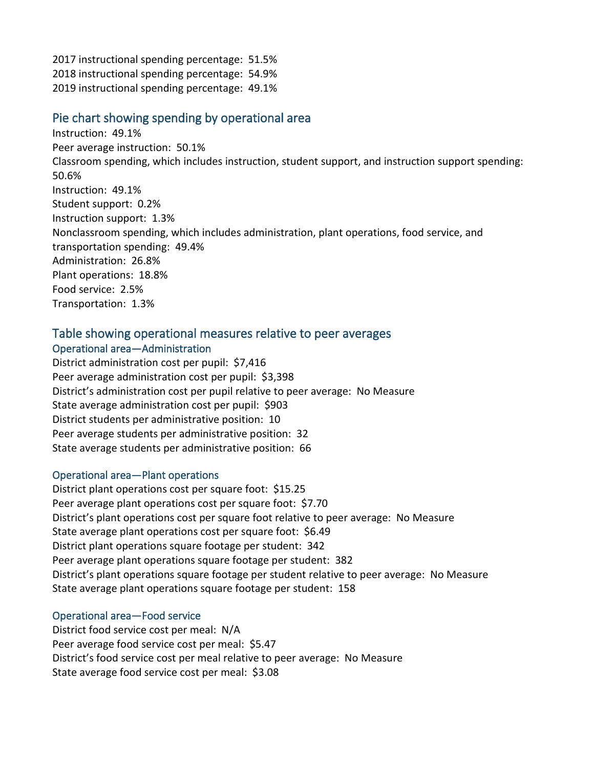2017 instructional spending percentage: 51.5% 2018 instructional spending percentage: 54.9% 2019 instructional spending percentage: 49.1%

## Pie chart showing spending by operational area

Instruction: 49.1% Peer average instruction: 50.1% Classroom spending, which includes instruction, student support, and instruction support spending: 50.6% Instruction: 49.1% Student support: 0.2% Instruction support: 1.3% Nonclassroom spending, which includes administration, plant operations, food service, and transportation spending: 49.4% Administration: 26.8% Plant operations: 18.8% Food service: 2.5% Transportation: 1.3%

# Table showing operational measures relative to peer averages

## Operational area—Administration

District administration cost per pupil: \$7,416 Peer average administration cost per pupil: \$3,398 District's administration cost per pupil relative to peer average: No Measure State average administration cost per pupil: \$903 District students per administrative position: 10 Peer average students per administrative position: 32 State average students per administrative position: 66

#### Operational area—Plant operations

District plant operations cost per square foot: \$15.25 Peer average plant operations cost per square foot: \$7.70 District's plant operations cost per square foot relative to peer average: No Measure State average plant operations cost per square foot: \$6.49 District plant operations square footage per student: 342 Peer average plant operations square footage per student: 382 District's plant operations square footage per student relative to peer average: No Measure State average plant operations square footage per student: 158

#### Operational area—Food service

District food service cost per meal: N/A Peer average food service cost per meal: \$5.47 District's food service cost per meal relative to peer average: No Measure State average food service cost per meal: \$3.08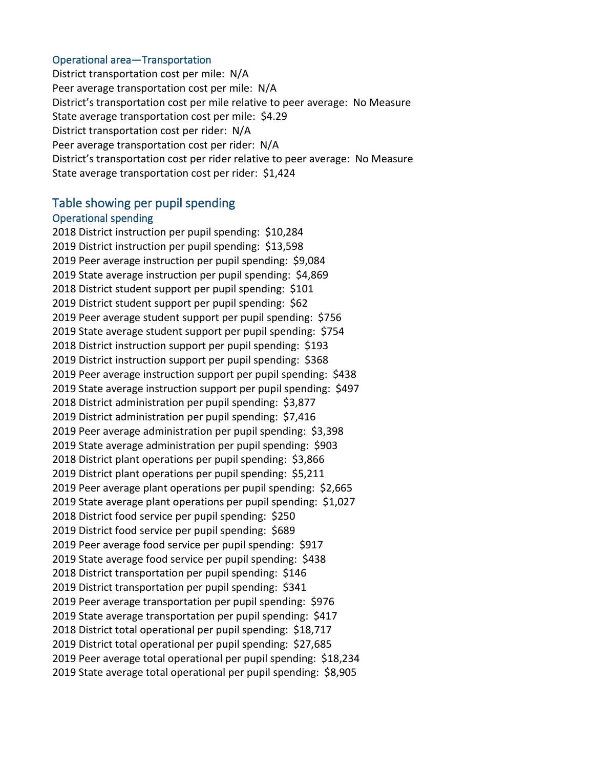#### Operational area—Transportation

District transportation cost per mile: N/A Peer average transportation cost per mile: N/A District's transportation cost per mile relative to peer average: No Measure State average transportation cost per mile: \$4.29 District transportation cost per rider: N/A Peer average transportation cost per rider: N/A District's transportation cost per rider relative to peer average: No Measure State average transportation cost per rider: \$1,424

#### Table showing per pupil spending

#### Operational spending

2018 District instruction per pupil spending: \$10,284 2019 District instruction per pupil spending: \$13,598 2019 Peer average instruction per pupil spending: \$9,084 2019 State average instruction per pupil spending: \$4,869 2018 District student support per pupil spending: \$101 2019 District student support per pupil spending: \$62 2019 Peer average student support per pupil spending: \$756 2019 State average student support per pupil spending: \$754 2018 District instruction support per pupil spending: \$193 2019 District instruction support per pupil spending: \$368 2019 Peer average instruction support per pupil spending: \$438 2019 State average instruction support per pupil spending: \$497 2018 District administration per pupil spending: \$3,877 2019 District administration per pupil spending: \$7,416 2019 Peer average administration per pupil spending: \$3,398 2019 State average administration per pupil spending: \$903 2018 District plant operations per pupil spending: \$3,866 2019 District plant operations per pupil spending: \$5,211 2019 Peer average plant operations per pupil spending: \$2,665 2019 State average plant operations per pupil spending: \$1,027 2018 District food service per pupil spending: \$250 2019 District food service per pupil spending: \$689 2019 Peer average food service per pupil spending: \$917 2019 State average food service per pupil spending: \$438 2018 District transportation per pupil spending: \$146 2019 District transportation per pupil spending: \$341 2019 Peer average transportation per pupil spending: \$976 2019 State average transportation per pupil spending: \$417 2018 District total operational per pupil spending: \$18,717 2019 District total operational per pupil spending: \$27,685 2019 Peer average total operational per pupil spending: \$18,234 2019 State average total operational per pupil spending: \$8,905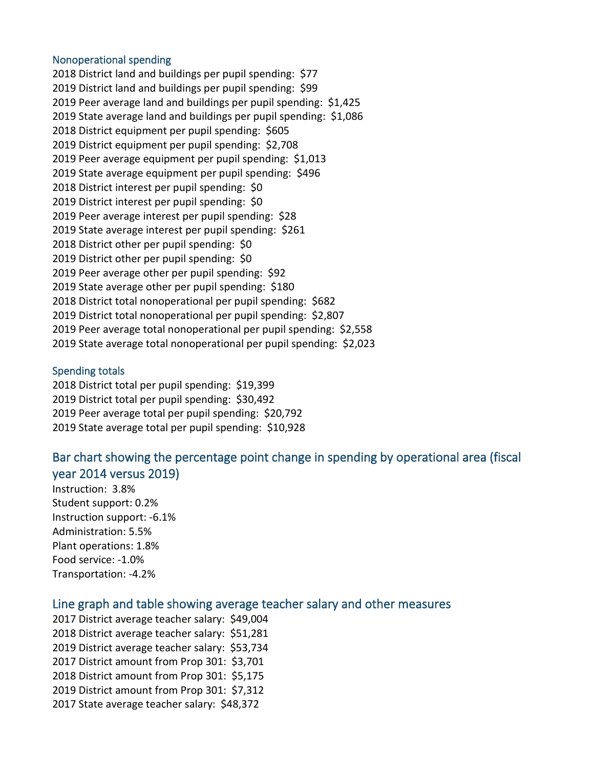#### Nonoperational spending

2018 District land and buildings per pupil spending: \$77 2019 District land and buildings per pupil spending: \$99 2019 Peer average land and buildings per pupil spending: \$1,425 2019 State average land and buildings per pupil spending: \$1,086 2018 District equipment per pupil spending: \$605 2019 District equipment per pupil spending: \$2,708 2019 Peer average equipment per pupil spending: \$1,013 2019 State average equipment per pupil spending: \$496 2018 District interest per pupil spending: \$0 2019 District interest per pupil spending: \$0 2019 Peer average interest per pupil spending: \$28 2019 State average interest per pupil spending: \$261 2018 District other per pupil spending: \$0 2019 District other per pupil spending: \$0 2019 Peer average other per pupil spending: \$92 2019 State average other per pupil spending: \$180 2018 District total nonoperational per pupil spending: \$682 2019 District total nonoperational per pupil spending: \$2,807 2019 Peer average total nonoperational per pupil spending: \$2,558 2019 State average total nonoperational per pupil spending: \$2,023

#### Spending totals

2018 District total per pupil spending: \$19,399 2019 District total per pupil spending: \$30,492 2019 Peer average total per pupil spending: \$20,792 2019 State average total per pupil spending: \$10,928

# Bar chart showing the percentage point change in spending by operational area (fiscal year 2014 versus 2019)

Instruction: 3.8% Student support: 0.2% Instruction support: -6.1% Administration: 5.5% Plant operations: 1.8% Food service: -1.0% Transportation: -4.2%

# Line graph and table showing average teacher salary and other measures

2017 District average teacher salary: \$49,004 2018 District average teacher salary: \$51,281 2019 District average teacher salary: \$53,734 2017 District amount from Prop 301: \$3,701 2018 District amount from Prop 301: \$5,175 2019 District amount from Prop 301: \$7,312 2017 State average teacher salary: \$48,372